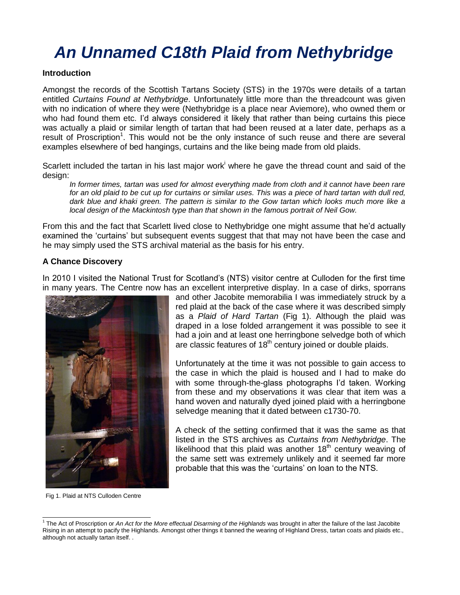# *An Unnamed C18th Plaid from Nethybridge*

#### **Introduction**

Amongst the records of the Scottish Tartans Society (STS) in the 1970s were details of a tartan entitled *Curtains Found at Nethybridge*. Unfortunately little more than the threadcount was given with no indication of where they were (Nethybridge is a place near Aviemore), who owned them or who had found them etc. I'd always considered it likely that rather than being curtains this piece was actually a plaid or similar length of tartan that had been reused at a later date, perhaps as a result of Proscription<sup>1</sup>. This would not be the only instance of such reuse and there are several examples elsewhere of bed hangings, curtains and the like being made from old plaids.

Scarlett included the tartan in his last major work<sup>i</sup> where he gave the thread count and said of the design:

*In former times, tartan was used for almost everything made from cloth and it cannot have been rare for an old plaid to be cut up for curtains or similar uses. This was a piece of hard tartan with dull red, dark blue and khaki green. The pattern is similar to the Gow tartan which looks much more like a local design of the Mackintosh type than that shown in the famous portrait of Neil Gow.*

From this and the fact that Scarlett lived close to Nethybridge one might assume that he'd actually examined the 'curtains' but subsequent events suggest that that may not have been the case and he may simply used the STS archival material as the basis for his entry.

## **A Chance Discovery**

In 2010 I visited the National Trust for Scotland's (NTS) visitor centre at Culloden for the first time in many years. The Centre now has an excellent interpretive display. In a case of dirks, sporrans



and other Jacobite memorabilia I was immediately struck by a red plaid at the back of the case where it was described simply as a *Plaid of Hard Tartan* (Fig 1). Although the plaid was draped in a lose folded arrangement it was possible to see it had a join and at least one herringbone selvedge both of which are classic features of 18<sup>th</sup> century joined or double plaids.

Unfortunately at the time it was not possible to gain access to the case in which the plaid is housed and I had to make do with some through-the-glass photographs I'd taken. Working from these and my observations it was clear that item was a hand woven and naturally dyed joined plaid with a herringbone selvedge meaning that it dated between c1730-70.

A check of the setting confirmed that it was the same as that listed in the STS archives as *Curtains from Nethybridge*. The likelihood that this plaid was another  $18<sup>th</sup>$  century weaving of the same sett was extremely unlikely and it seemed far more probable that this was the 'curtains' on loan to the NTS.

Fig 1. Plaid at NTS Culloden Centre

l <sup>1</sup> The Act of Proscription or An Act for the More effectual Disarming of the Highlands was brought in after the failure of the last Jacobite Rising in an attempt to pacify the Highlands. Amongst other things it banned the wearing of Highland Dress, tartan coats and plaids etc., although not actually tartan itself. .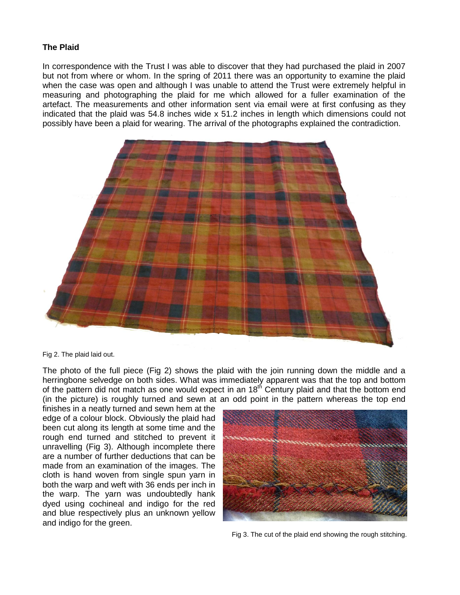### **The Plaid**

In correspondence with the Trust I was able to discover that they had purchased the plaid in 2007 but not from where or whom. In the spring of 2011 there was an opportunity to examine the plaid when the case was open and although I was unable to attend the Trust were extremely helpful in measuring and photographing the plaid for me which allowed for a fuller examination of the artefact. The measurements and other information sent via email were at first confusing as they indicated that the plaid was 54.8 inches wide x 51.2 inches in length which dimensions could not possibly have been a plaid for wearing. The arrival of the photographs explained the contradiction.



Fig 2. The plaid laid out.

The photo of the full piece (Fig 2) shows the plaid with the join running down the middle and a herringbone selvedge on both sides. What was immediately apparent was that the top and bottom of the pattern did not match as one would expect in an  $18<sup>th</sup>$  Century plaid and that the bottom end (in the picture) is roughly turned and sewn at an odd point in the pattern whereas the top end

finishes in a neatly turned and sewn hem at the edge of a colour block. Obviously the plaid had been cut along its length at some time and the rough end turned and stitched to prevent it unravelling (Fig 3). Although incomplete there are a number of further deductions that can be made from an examination of the images. The cloth is hand woven from single spun yarn in both the warp and weft with 36 ends per inch in the warp. The yarn was undoubtedly hank dyed using cochineal and indigo for the red and blue respectively plus an unknown yellow and indigo for the green.



Fig 3. The cut of the plaid end showing the rough stitching.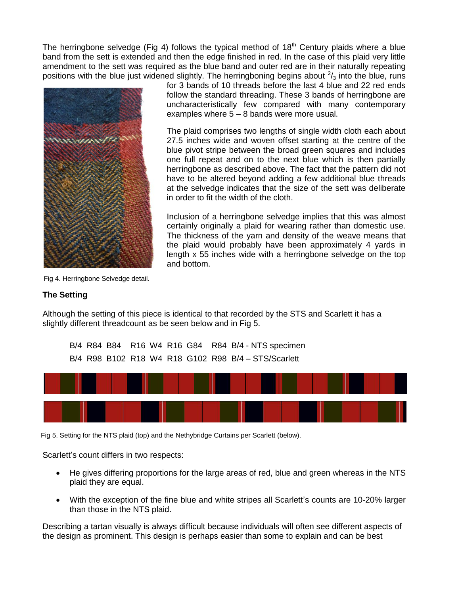The herringbone selvedge (Fig 4) follows the typical method of  $18<sup>th</sup>$  Century plaids where a blue band from the sett is extended and then the edge finished in red. In the case of this plaid very little amendment to the sett was required as the blue band and outer red are in their naturally repeating positions with the blue just widened slightly. The herringboning begins about  $2/3$  into the blue, runs



for 3 bands of 10 threads before the last 4 blue and 22 red ends follow the standard threading. These 3 bands of herringbone are uncharacteristically few compared with many contemporary examples where 5 – 8 bands were more usual.

The plaid comprises two lengths of single width cloth each about 27.5 inches wide and woven offset starting at the centre of the blue pivot stripe between the broad green squares and includes one full repeat and on to the next blue which is then partially herringbone as described above. The fact that the pattern did not have to be altered beyond adding a few additional blue threads at the selvedge indicates that the size of the sett was deliberate in order to fit the width of the cloth.

Inclusion of a herringbone selvedge implies that this was almost certainly originally a plaid for wearing rather than domestic use. The thickness of the yarn and density of the weave means that the plaid would probably have been approximately 4 yards in length x 55 inches wide with a herringbone selvedge on the top and bottom.

Fig 4. Herringbone Selvedge detail.

## **The Setting**

Although the setting of this piece is identical to that recorded by the STS and Scarlett it has a slightly different threadcount as be seen below and in Fig 5.

B/4 R84 B84 R16 W4 R16 G84 R84 B/4 - NTS specimen B/4 R98 B102 R18 W4 R18 G102 R98 B/4 – STS/Scarlett



Fig 5. Setting for the NTS plaid (top) and the Nethybridge Curtains per Scarlett (below).

Scarlett's count differs in two respects:

- He gives differing proportions for the large areas of red, blue and green whereas in the NTS plaid they are equal.
- With the exception of the fine blue and white stripes all Scarlett's counts are 10-20% larger than those in the NTS plaid.

Describing a tartan visually is always difficult because individuals will often see different aspects of the design as prominent. This design is perhaps easier than some to explain and can be best